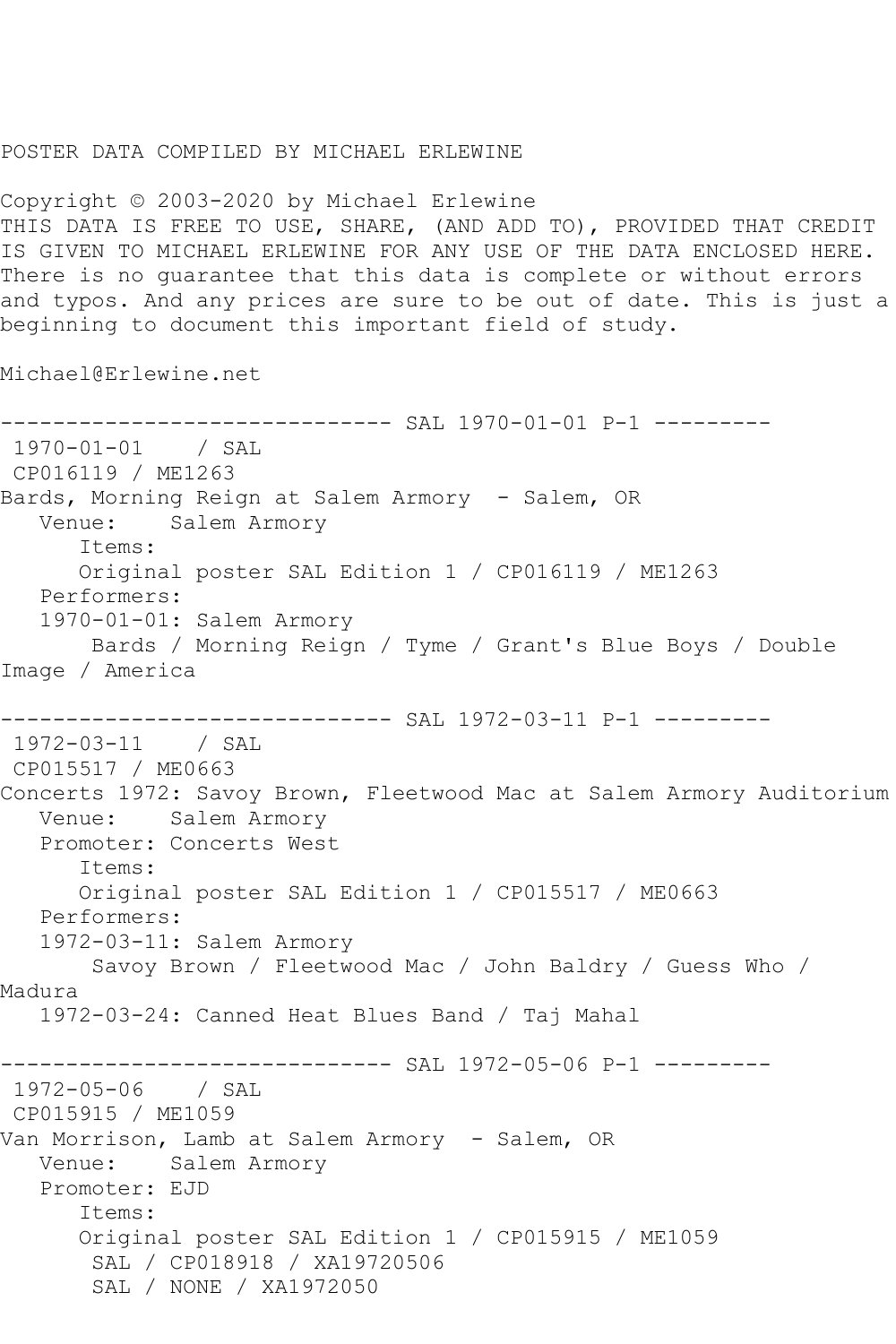## POSTER DATA COMPILED BY MICHAEL ERLEWINE

Copyright © 2003-2020 by Michael Erlewine THIS DATA IS FREE TO USE, SHARE, (AND ADD TO), PROVIDED THAT CREDIT IS GIVEN TO MICHAEL ERLEWINE FOR ANY USE OF THE DATA ENCLOSED HERE. There is no guarantee that this data is complete or without errors and typos. And any prices are sure to be out of date. This is just a beginning to document this important field of study.

Michael@Erlewine.net

------------------------------ SAL 1970-01-01 P-1 --------- 1970-01-01 / SAL CP016119 / ME1263 Bards, Morning Reign at Salem Armory - Salem, OR Venue: Salem Armory Items: Original poster SAL Edition 1 / CP016119 / ME1263 Performers: 1970-01-01: Salem Armory Bards / Morning Reign / Tyme / Grant's Blue Boys / Double Image / America ------------------------------ SAL 1972-03-11 P-1 --------- 1972-03-11 / SAL CP015517 / ME0663 Concerts 1972: Savoy Brown, Fleetwood Mac at Salem Armory Auditorium Venue: Salem Armory Promoter: Concerts West Items: Original poster SAL Edition 1 / CP015517 / ME0663 Performers: 1972-03-11: Salem Armory Savoy Brown / Fleetwood Mac / John Baldry / Guess Who / Madura 1972-03-24: Canned Heat Blues Band / Taj Mahal ------------------------------ SAL 1972-05-06 P-1 --------- 1972-05-06 / SAL CP015915 / ME1059 Van Morrison, Lamb at Salem Armory - Salem, OR Venue: Salem Armory Promoter: EJD Items: Original poster SAL Edition 1 / CP015915 / ME1059 SAL / CP018918 / XA19720506 SAL / NONE / XA1972050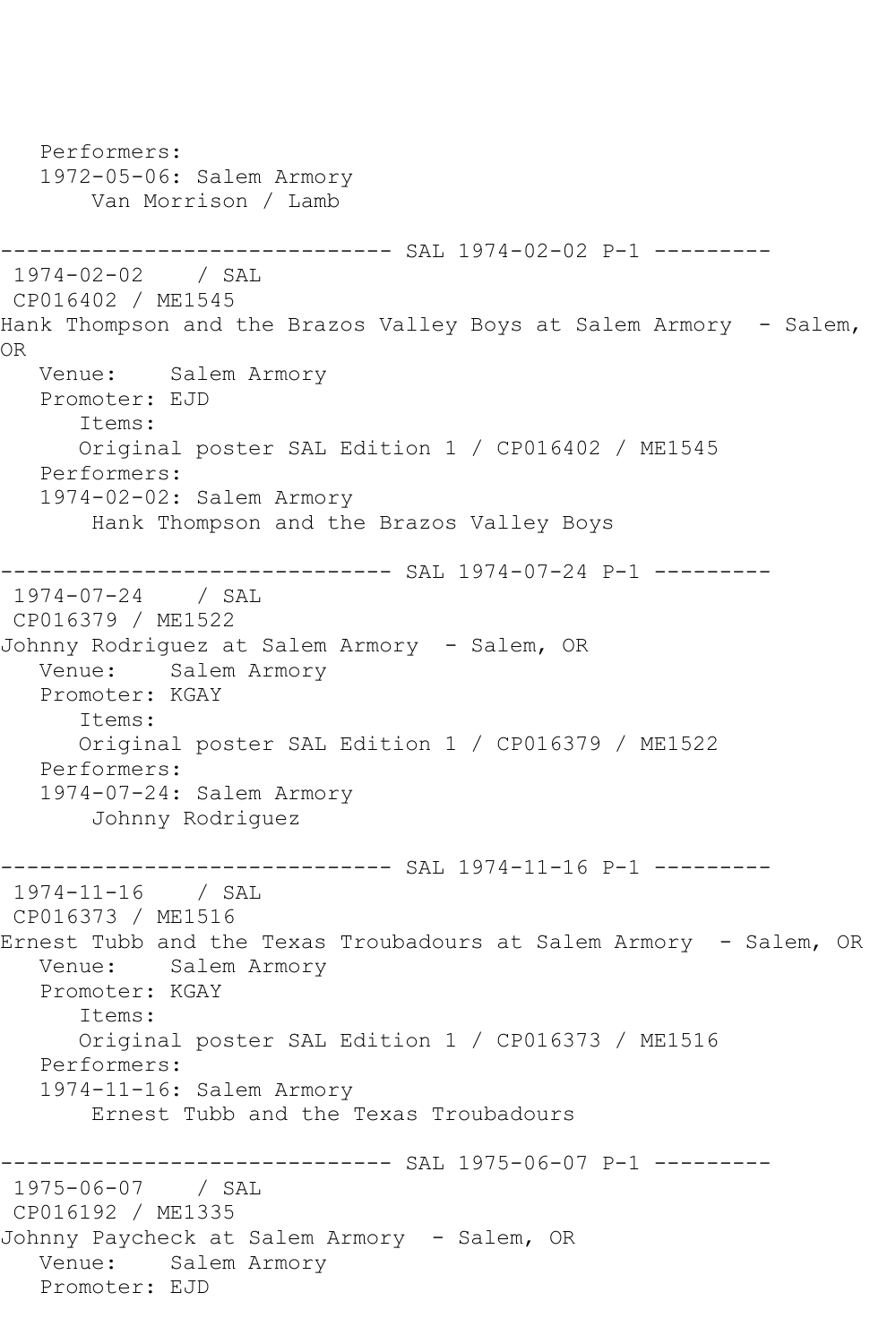Performers: 1972-05-06: Salem Armory Van Morrison / Lamb ------------------------------ SAL 1974-02-02 P-1 --------- 1974-02-02 / SAL CP016402 / ME1545 Hank Thompson and the Brazos Valley Boys at Salem Armory - Salem, OR Venue: Salem Armory Promoter: EJD Items: Original poster SAL Edition 1 / CP016402 / ME1545 Performers: 1974-02-02: Salem Armory Hank Thompson and the Brazos Valley Boys ------------------------------ SAL 1974-07-24 P-1 --------- 1974-07-24 / SAL CP016379 / ME1522 Johnny Rodriguez at Salem Armory - Salem, OR Venue: Salem Armory Promoter: KGAY Items: Original poster SAL Edition 1 / CP016379 / ME1522 Performers: 1974-07-24: Salem Armory Johnny Rodriguez ------------------------------ SAL 1974-11-16 P-1 --------- 1974-11-16 / SAL CP016373 / ME1516 Ernest Tubb and the Texas Troubadours at Salem Armory - Salem, OR Venue: Salem Armory Promoter: KGAY Items: Original poster SAL Edition 1 / CP016373 / ME1516 Performers: 1974-11-16: Salem Armory Ernest Tubb and the Texas Troubadours ------------------------------ SAL 1975-06-07 P-1 --------- 1975-06-07 / SAL CP016192 / ME1335 Johnny Paycheck at Salem Armory - Salem, OR Venue: Salem Armory Promoter: EJD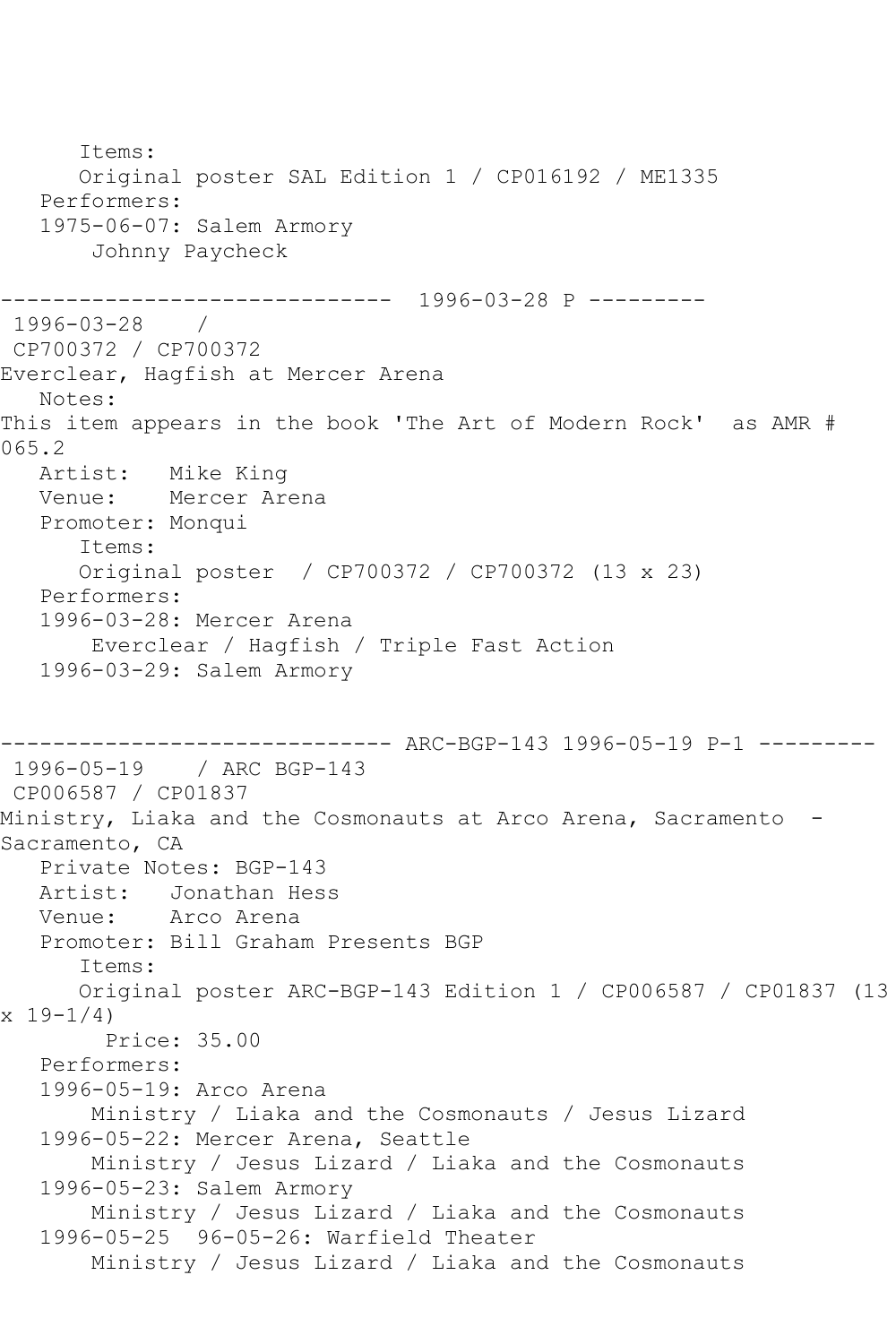Items: Original poster SAL Edition 1 / CP016192 / ME1335 Performers: 1975-06-07: Salem Armory Johnny Paycheck ------------------------------ 1996-03-28 P --------- 1996-03-28 / CP700372 / CP700372 Everclear, Hagfish at Mercer Arena Notes: This item appears in the book 'The Art of Modern Rock' as AMR # 065.2 Artist: Mike King Venue: Mercer Arena Promoter: Monqui Items: Original poster / CP700372 / CP700372 (13 x 23) Performers: 1996-03-28: Mercer Arena Everclear / Hagfish / Triple Fast Action 1996-03-29: Salem Armory ------------------------------ ARC-BGP-143 1996-05-19 P-1 --------- 1996-05-19 / ARC BGP-143 CP006587 / CP01837 Ministry, Liaka and the Cosmonauts at Arco Arena, Sacramento - Sacramento, CA Private Notes: BGP-143 Artist: Jonathan Hess Venue: Arco Arena Promoter: Bill Graham Presents BGP Items: Original poster ARC-BGP-143 Edition 1 / CP006587 / CP01837 (13  $x 19-1/4$  Price: 35.00 Performers: 1996-05-19: Arco Arena Ministry / Liaka and the Cosmonauts / Jesus Lizard 1996-05-22: Mercer Arena, Seattle Ministry / Jesus Lizard / Liaka and the Cosmonauts 1996-05-23: Salem Armory Ministry / Jesus Lizard / Liaka and the Cosmonauts 1996-05-25 96-05-26: Warfield Theater Ministry / Jesus Lizard / Liaka and the Cosmonauts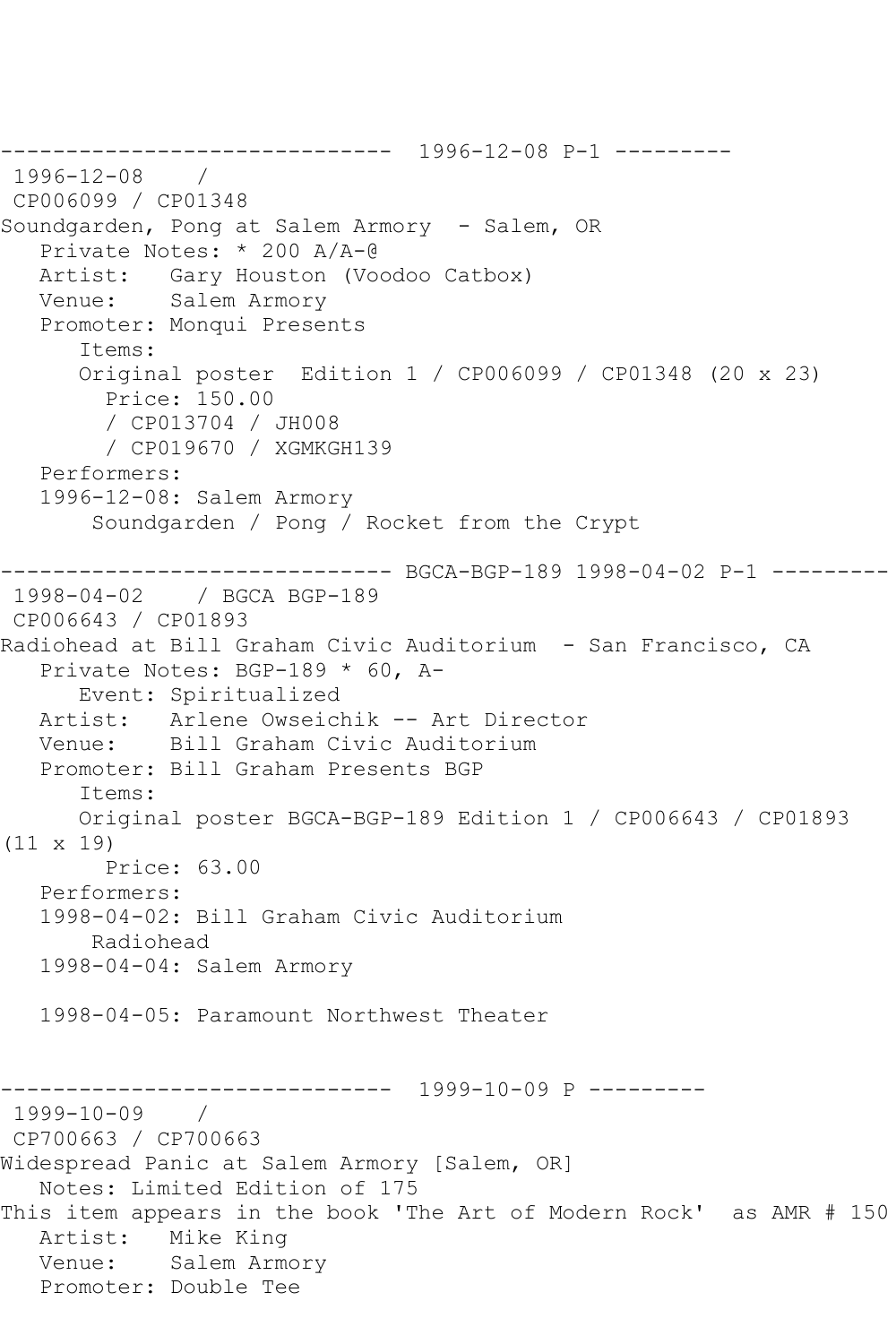------------------------------ 1996-12-08 P-1 --------- 1996-12-08 / CP006099 / CP01348 Soundgarden, Pong at Salem Armory - Salem, OR Private Notes: \* 200 A/A-@ Artist: Gary Houston (Voodoo Catbox) Venue: Salem Armory Promoter: Monqui Presents Items: Original poster Edition 1 / CP006099 / CP01348 (20 x 23) Price: 150.00 / CP013704 / JH008 / CP019670 / XGMKGH139 Performers: 1996-12-08: Salem Armory Soundgarden / Pong / Rocket from the Crypt ------------------------------ BGCA-BGP-189 1998-04-02 P-1 --------- 1998-04-02 / BGCA BGP-189 CP006643 / CP01893 Radiohead at Bill Graham Civic Auditorium - San Francisco, CA Private Notes: BGP-189 \* 60, A- Event: Spiritualized Artist: Arlene Owseichik -- Art Director Venue: Bill Graham Civic Auditorium Promoter: Bill Graham Presents BGP Items: Original poster BGCA-BGP-189 Edition 1 / CP006643 / CP01893 (11 x 19) Price: 63.00 Performers: 1998-04-02: Bill Graham Civic Auditorium Radiohead 1998-04-04: Salem Armory 1998-04-05: Paramount Northwest Theater ------------------------------ 1999-10-09 P --------- 1999-10-09 / CP700663 / CP700663 Widespread Panic at Salem Armory [Salem, OR] Notes: Limited Edition of 175 This item appears in the book 'The Art of Modern Rock' as AMR # 150 Artist: Mike King Venue: Salem Armory Promoter: Double Tee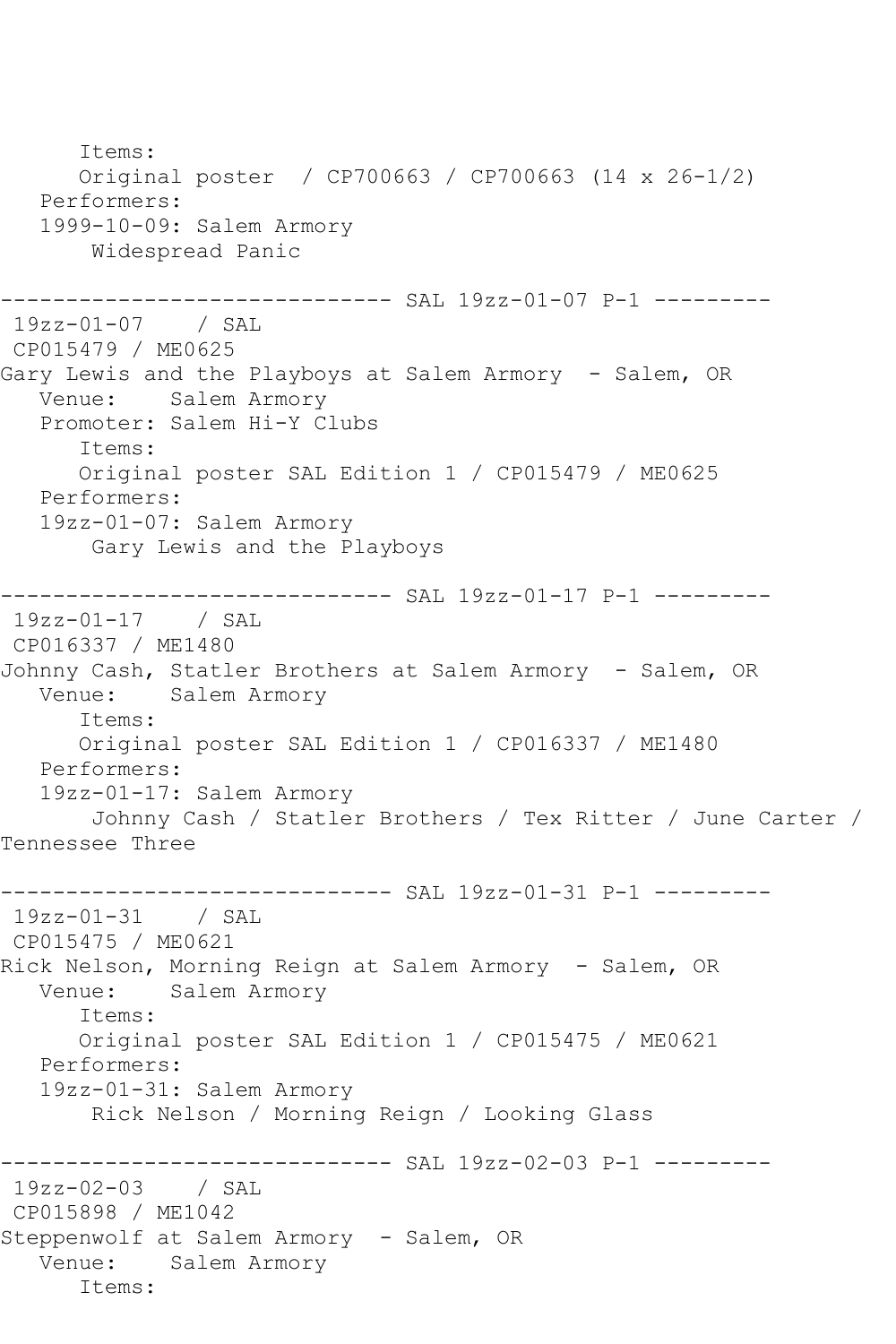Items: Original poster / CP700663 / CP700663 (14 x 26-1/2) Performers: 1999-10-09: Salem Armory Widespread Panic ------------------------------ SAL 19zz-01-07 P-1 --------- 19zz-01-07 / SAL CP015479 / ME0625 Gary Lewis and the Playboys at Salem Armory - Salem, OR Venue: Salem Armory Promoter: Salem Hi-Y Clubs Items: Original poster SAL Edition 1 / CP015479 / ME0625 Performers: 19zz-01-07: Salem Armory Gary Lewis and the Playboys ------------------------------ SAL 19zz-01-17 P-1 --------- 19zz-01-17 / SAL CP016337 / ME1480 Johnny Cash, Statler Brothers at Salem Armory - Salem, OR Venue: Salem Armory Items: Original poster SAL Edition 1 / CP016337 / ME1480 Performers: 19zz-01-17: Salem Armory Johnny Cash / Statler Brothers / Tex Ritter / June Carter / Tennessee Three ------------------------------ SAL 19zz-01-31 P-1 --------- 19zz-01-31 / SAL CP015475 / ME0621 Rick Nelson, Morning Reign at Salem Armory - Salem, OR Venue: Salem Armory Items: Original poster SAL Edition 1 / CP015475 / ME0621 Performers: 19zz-01-31: Salem Armory Rick Nelson / Morning Reign / Looking Glass ------------------------------ SAL 19zz-02-03 P-1 --------- 19zz-02-03 / SAL CP015898 / ME1042 Steppenwolf at Salem Armory - Salem, OR Venue: Salem Armory Items: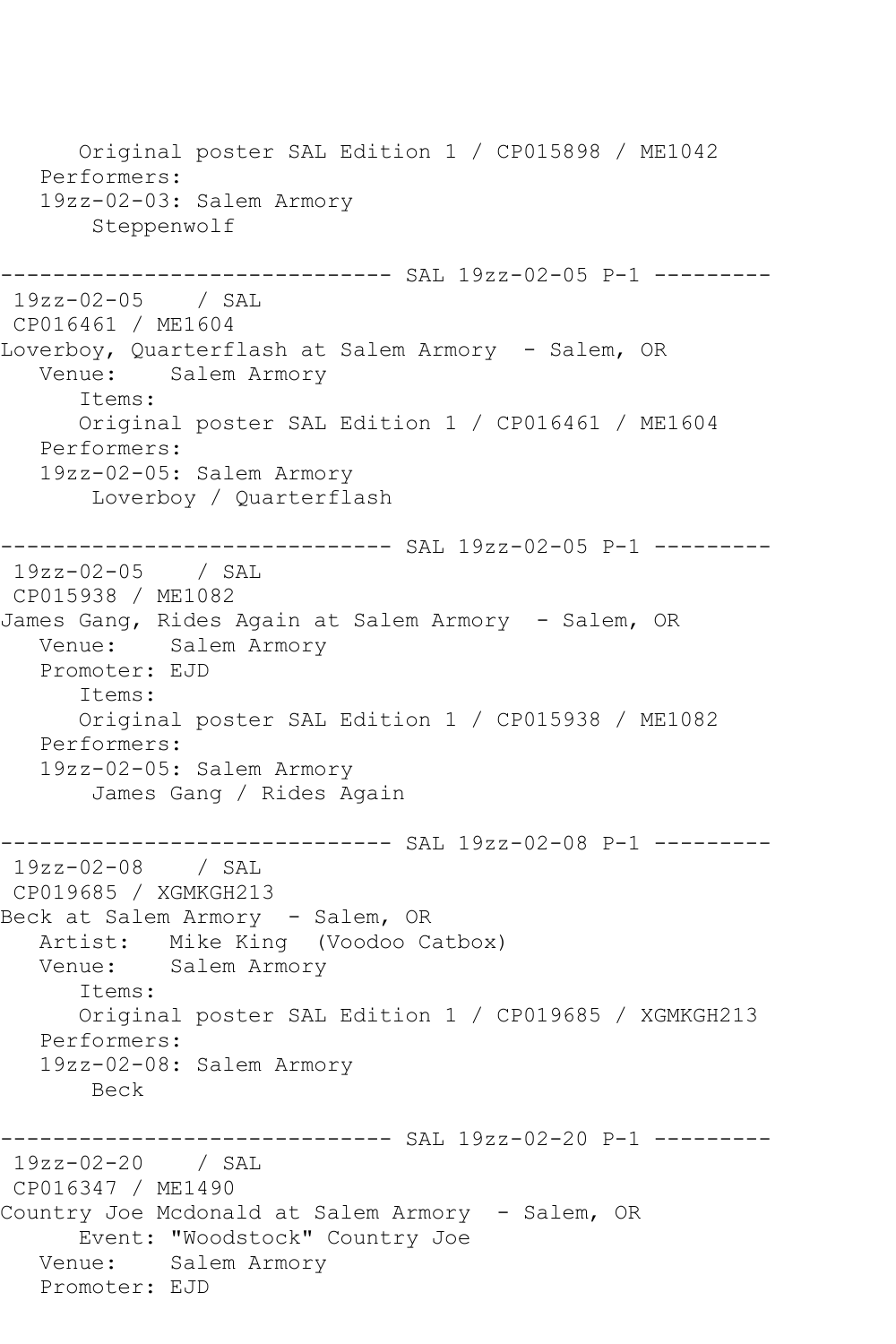Original poster SAL Edition 1 / CP015898 / ME1042 Performers: 19zz-02-03: Salem Armory Steppenwolf ----------- SAL 19zz-02-05 P-1 ---------19zz-02-05 / SAL CP016461 / ME1604 Loverboy, Quarterflash at Salem Armory - Salem, OR Venue: Salem Armory Items: Original poster SAL Edition 1 / CP016461 / ME1604 Performers: 19zz-02-05: Salem Armory Loverboy / Quarterflash ------------------------------ SAL 19zz-02-05 P-1 --------- 19zz-02-05 / SAL CP015938 / ME1082 James Gang, Rides Again at Salem Armory - Salem, OR Venue: Salem Armory Promoter: EJD Items: Original poster SAL Edition 1 / CP015938 / ME1082 Performers: 19zz-02-05: Salem Armory James Gang / Rides Again ------------------------------ SAL 19zz-02-08 P-1 --------- 19zz-02-08 / SAL CP019685 / XGMKGH213 Beck at Salem Armory - Salem, OR Artist: Mike King (Voodoo Catbox)<br>Venue: Salem Armory Salem Armory Items: Original poster SAL Edition 1 / CP019685 / XGMKGH213 Performers: 19zz-02-08: Salem Armory Beck ----------- SAL 19zz-02-20 P-1 ---------19zz-02-20 / SAL CP016347 / ME1490 Country Joe Mcdonald at Salem Armory - Salem, OR Event: "Woodstock" Country Joe Venue: Salem Armory Promoter: EJD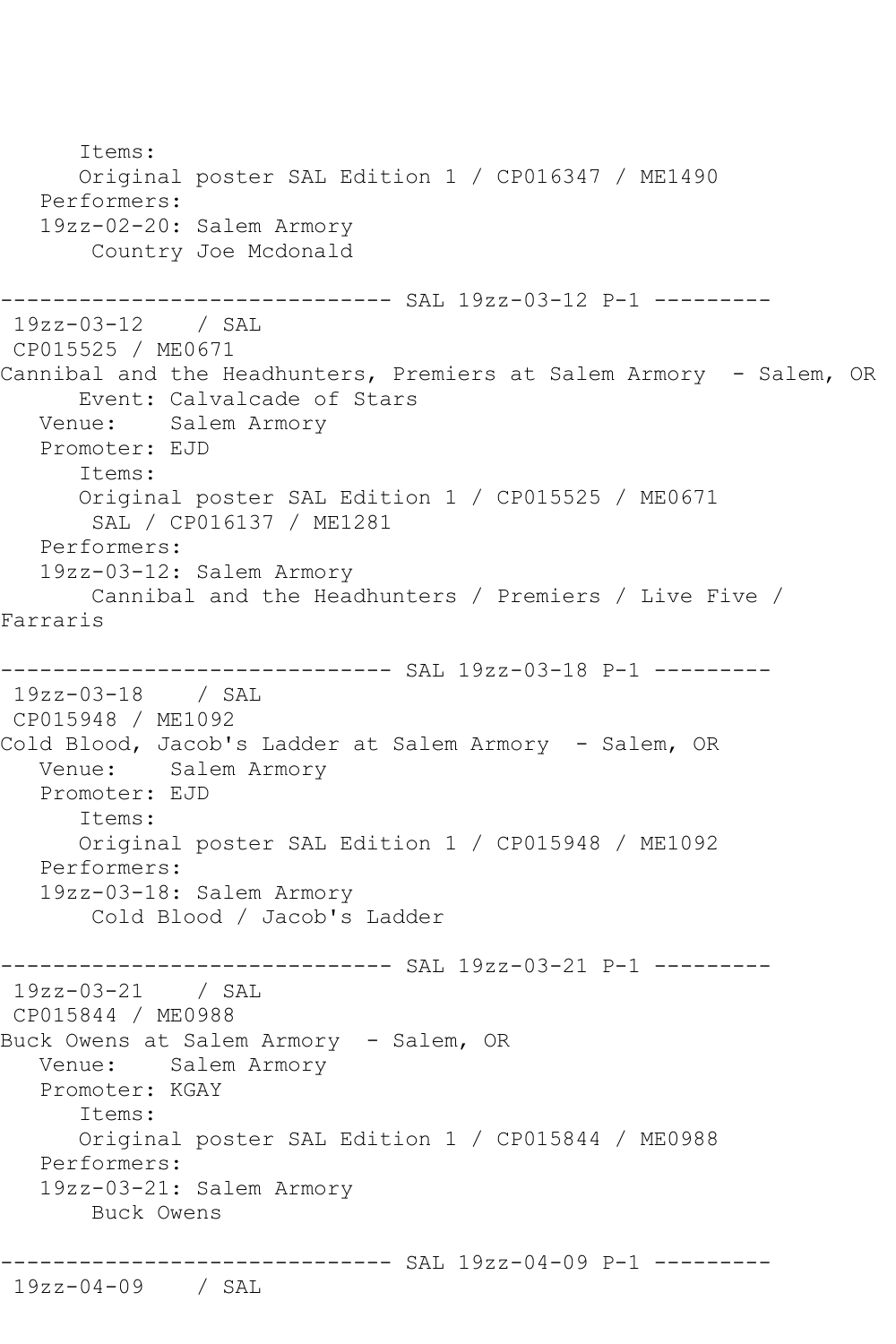Items: Original poster SAL Edition 1 / CP016347 / ME1490 Performers: 19zz-02-20: Salem Armory Country Joe Mcdonald ------------------------------ SAL 19zz-03-12 P-1 --------- 19zz-03-12 / SAL CP015525 / ME0671 Cannibal and the Headhunters, Premiers at Salem Armory - Salem, OR Event: Calvalcade of Stars Venue: Salem Armory Promoter: EJD Items: Original poster SAL Edition 1 / CP015525 / ME0671 SAL / CP016137 / ME1281 Performers: 19zz-03-12: Salem Armory Cannibal and the Headhunters / Premiers / Live Five / Farraris ------------ SAL 19zz-03-18 P-1 ----------19zz-03-18 / SAL CP015948 / ME1092 Cold Blood, Jacob's Ladder at Salem Armory - Salem, OR Venue: Salem Armory Promoter: EJD Items: Original poster SAL Edition 1 / CP015948 / ME1092 Performers: 19zz-03-18: Salem Armory Cold Blood / Jacob's Ladder ------------------------------ SAL 19zz-03-21 P-1 --------- 19zz-03-21 / SAL CP015844 / ME0988 Buck Owens at Salem Armory - Salem, OR Venue: Salem Armory Promoter: KGAY Items: Original poster SAL Edition 1 / CP015844 / ME0988 Performers: 19zz-03-21: Salem Armory Buck Owens ------------------------------ SAL 19zz-04-09 P-1 --------- 19zz-04-09 / SAL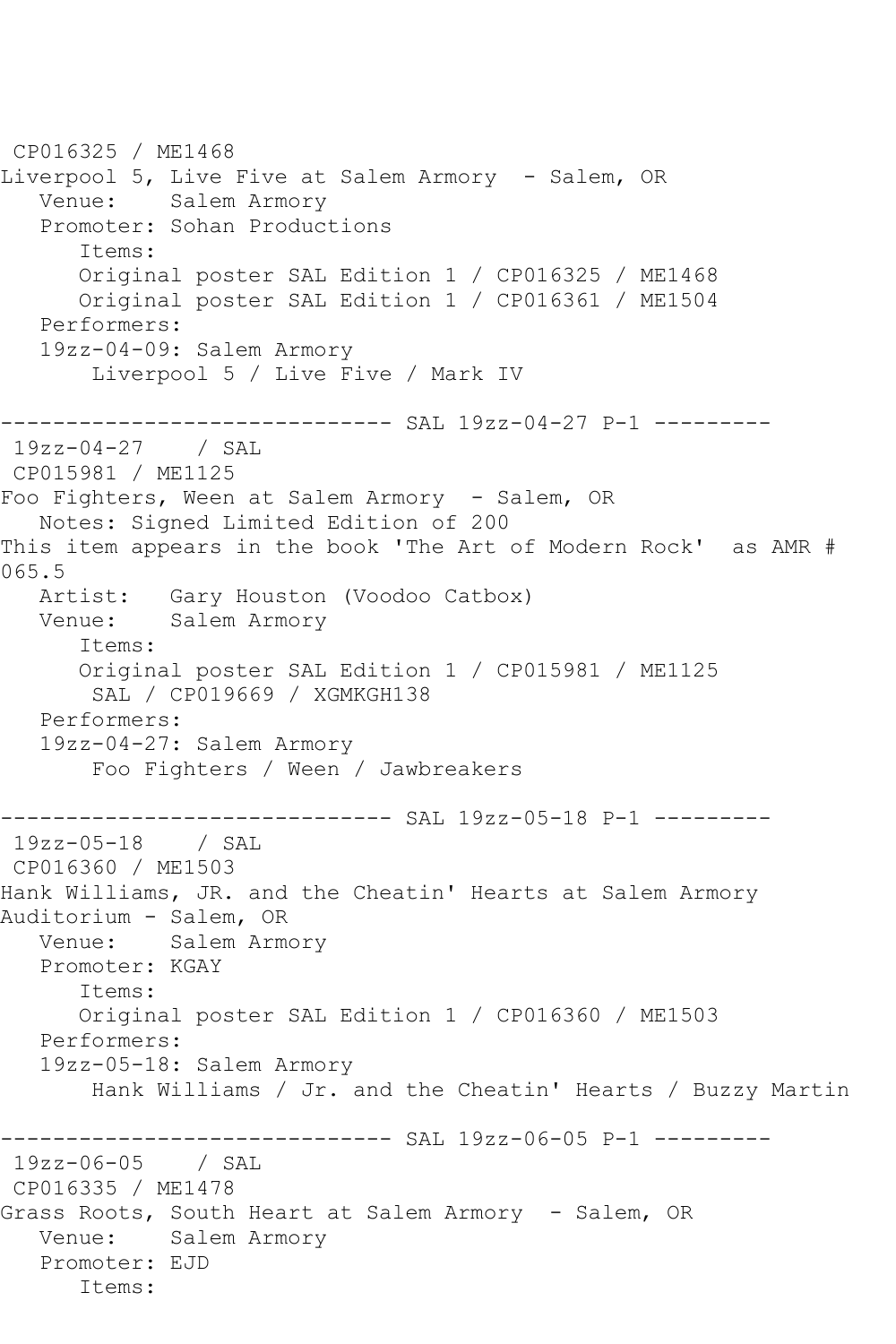CP016325 / ME1468 Liverpool 5, Live Five at Salem Armory - Salem, OR Venue: Salem Armory Promoter: Sohan Productions Items: Original poster SAL Edition 1 / CP016325 / ME1468 Original poster SAL Edition 1 / CP016361 / ME1504 Performers: 19zz-04-09: Salem Armory Liverpool 5 / Live Five / Mark IV ------------------------------ SAL 19zz-04-27 P-1 --------- 19zz-04-27 / SAL CP015981 / ME1125 Foo Fighters, Ween at Salem Armory - Salem, OR Notes: Signed Limited Edition of 200 This item appears in the book 'The Art of Modern Rock' as AMR # 065.5<br>: Artist Gary Houston (Voodoo Catbox) Venue: Salem Armory Items: Original poster SAL Edition 1 / CP015981 / ME1125 SAL / CP019669 / XGMKGH138 Performers: 19zz-04-27: Salem Armory Foo Fighters / Ween / Jawbreakers ------------------------------ SAL 19zz-05-18 P-1 --------- 19zz-05-18 / SAL CP016360 / ME1503 Hank Williams, JR. and the Cheatin' Hearts at Salem Armory Auditorium - Salem, OR Venue: Salem Armory Promoter: KGAY Items: Original poster SAL Edition 1 / CP016360 / ME1503 Performers: 19zz-05-18: Salem Armory Hank Williams / Jr. and the Cheatin' Hearts / Buzzy Martin ------------ SAL 19zz-06-05 P-1 ---------19zz-06-05 / SAL CP016335 / ME1478 Grass Roots, South Heart at Salem Armory - Salem, OR Venue: Salem Armory Promoter: EJD Items: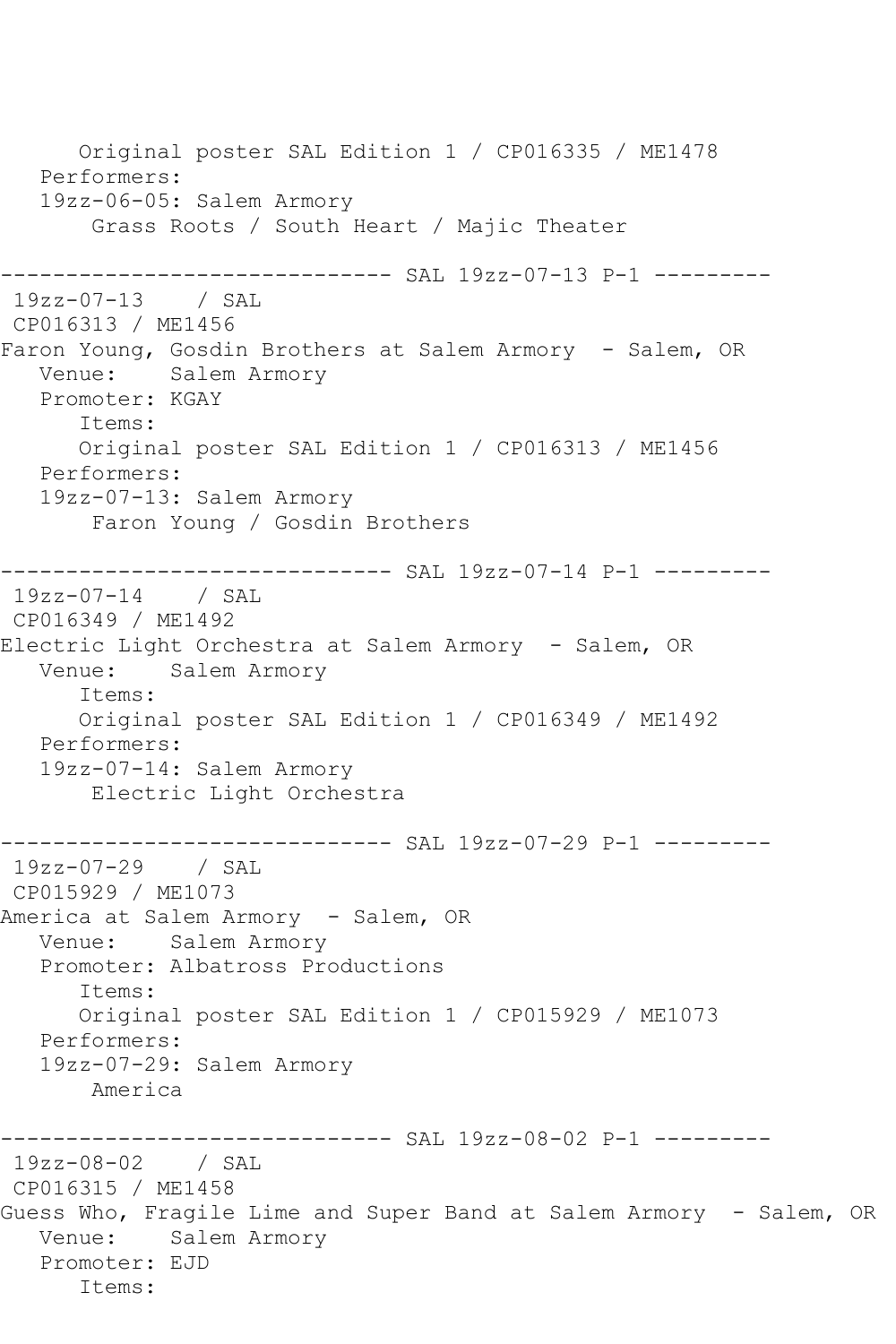Original poster SAL Edition 1 / CP016335 / ME1478 Performers: 19zz-06-05: Salem Armory Grass Roots / South Heart / Majic Theater ------------- SAL 19zz-07-13 P-1 ---------19zz-07-13 / SAL CP016313 / ME1456 Faron Young, Gosdin Brothers at Salem Armory - Salem, OR Venue: Salem Armory Promoter: KGAY Items: Original poster SAL Edition 1 / CP016313 / ME1456 Performers: 19zz-07-13: Salem Armory Faron Young / Gosdin Brothers ------------------------------ SAL 19zz-07-14 P-1 --------- 19zz-07-14 / SAL CP016349 / ME1492 Electric Light Orchestra at Salem Armory - Salem, OR Venue: Salem Armory Items: Original poster SAL Edition 1 / CP016349 / ME1492 Performers: 19zz-07-14: Salem Armory Electric Light Orchestra ---------------------- SAL 19zz-07-29 P-1 ---------19zz-07-29 / SAL CP015929 / ME1073 America at Salem Armory - Salem, OR Venue: Salem Armory Promoter: Albatross Productions Items: Original poster SAL Edition 1 / CP015929 / ME1073 Performers: 19zz-07-29: Salem Armory America ------------------------------ SAL 19zz-08-02 P-1 --------- 19zz-08-02 / SAL CP016315 / ME1458 Guess Who, Fragile Lime and Super Band at Salem Armory - Salem, OR Venue: Salem Armory Promoter: EJD Items: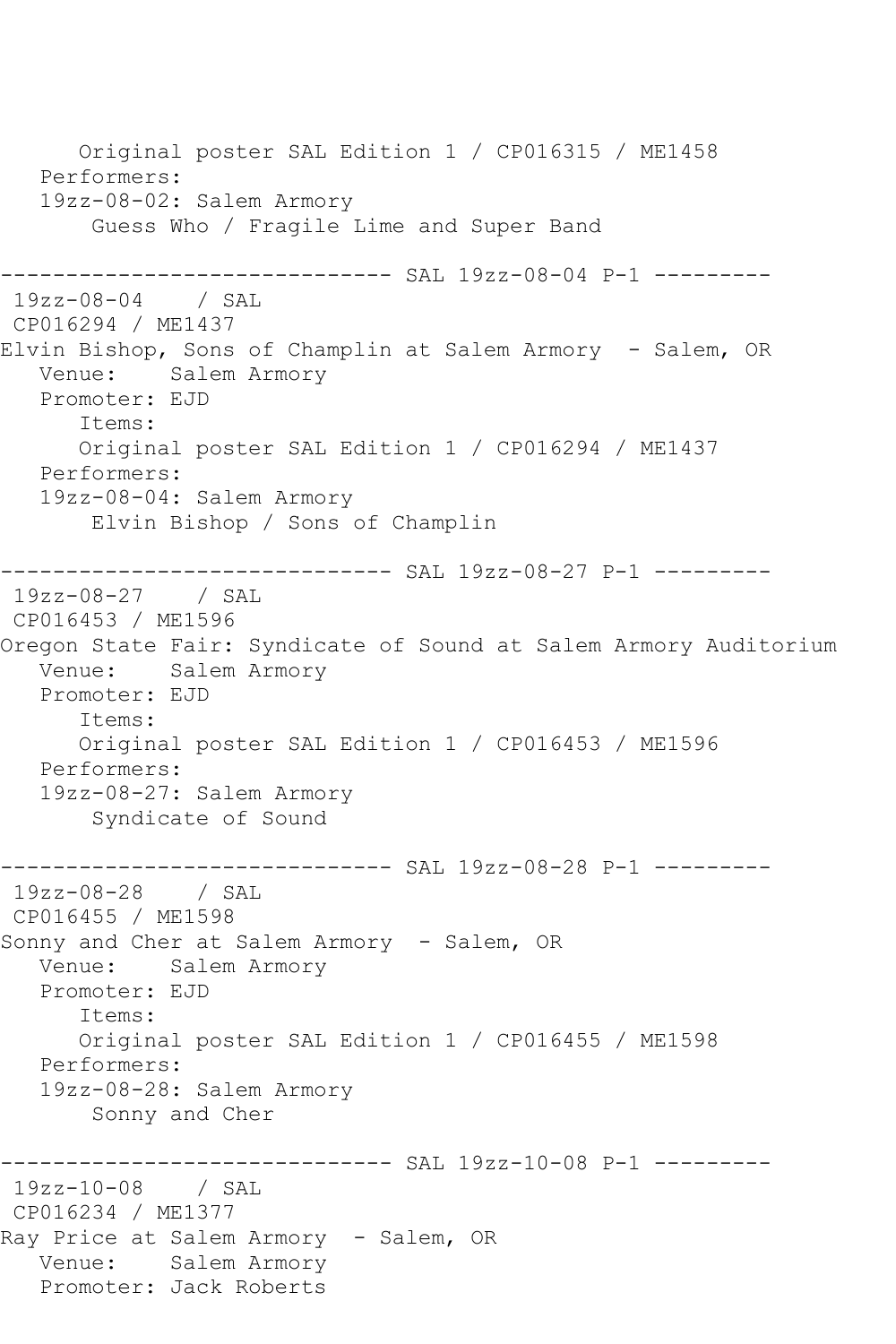Original poster SAL Edition 1 / CP016315 / ME1458 Performers: 19zz-08-02: Salem Armory Guess Who / Fragile Lime and Super Band ------------------------------ SAL 19zz-08-04 P-1 --------- 19zz-08-04 / SAL CP016294 / ME1437 Elvin Bishop, Sons of Champlin at Salem Armory - Salem, OR Venue: Salem Armory Promoter: EJD Items: Original poster SAL Edition 1 / CP016294 / ME1437 Performers: 19zz-08-04: Salem Armory Elvin Bishop / Sons of Champlin ------------------------------ SAL 19zz-08-27 P-1 --------- 19zz-08-27 / SAL CP016453 / ME1596 Oregon State Fair: Syndicate of Sound at Salem Armory Auditorium Venue: Salem Armory Promoter: EJD Items: Original poster SAL Edition 1 / CP016453 / ME1596 Performers: 19zz-08-27: Salem Armory Syndicate of Sound ------------------------------ SAL 19zz-08-28 P-1 --------- 19zz-08-28 / SAL CP016455 / ME1598 Sonny and Cher at Salem Armory - Salem, OR Venue: Salem Armory Promoter: EJD Items: Original poster SAL Edition 1 / CP016455 / ME1598 Performers: 19zz-08-28: Salem Armory Sonny and Cher ------------------------------ SAL 19zz-10-08 P-1 --------- 19zz-10-08 / SAL CP016234 / ME1377 Ray Price at Salem Armory - Salem, OR Venue: Salem Armory Promoter: Jack Roberts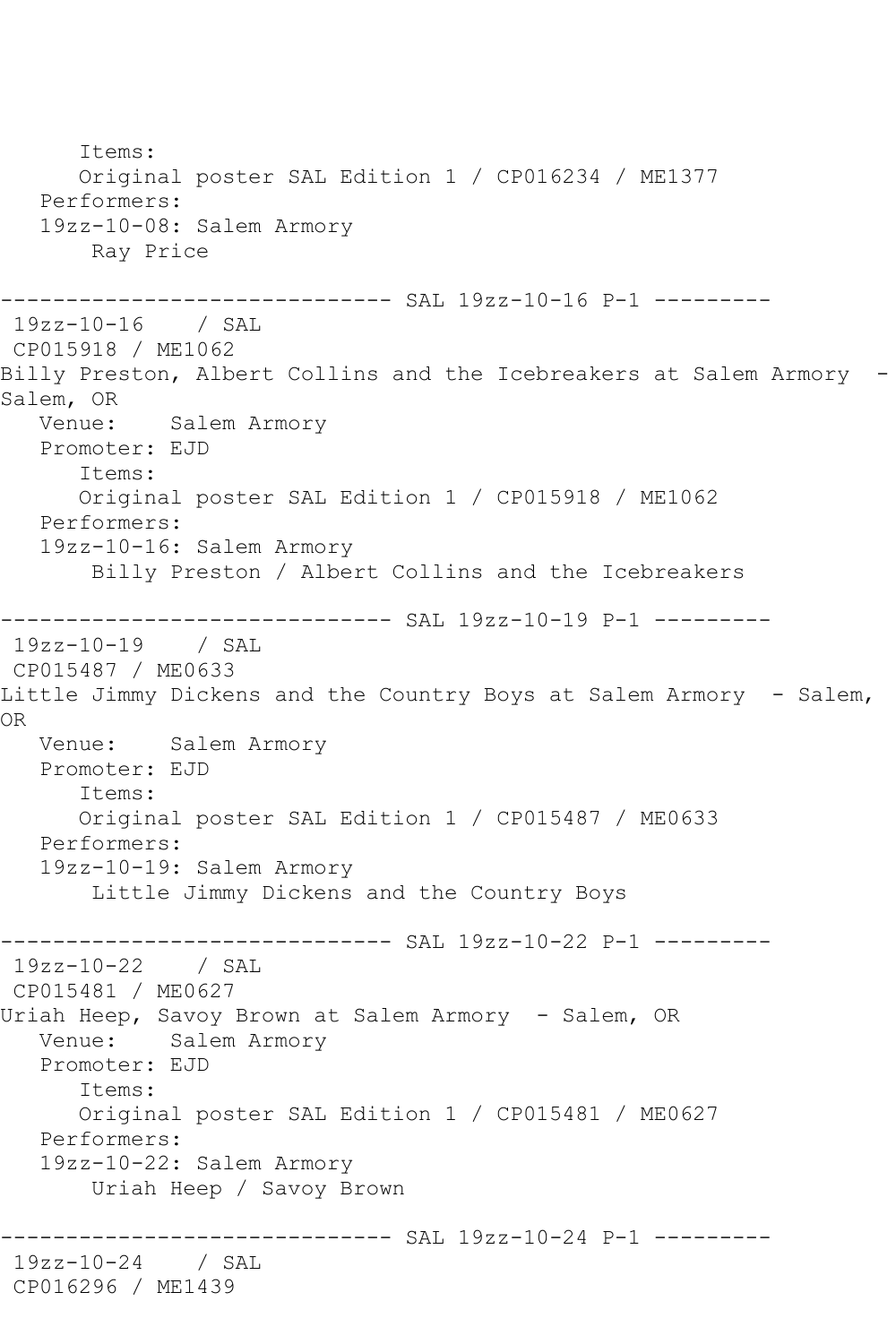Items: Original poster SAL Edition 1 / CP016234 / ME1377 Performers: 19zz-10-08: Salem Armory Ray Price ------------------------------ SAL 19zz-10-16 P-1 --------- 19zz-10-16 / SAL CP015918 / ME1062 Billy Preston, Albert Collins and the Icebreakers at Salem Armory - Salem, OR<br>:Venue Salem Armory Promoter: EJD Items: Original poster SAL Edition 1 / CP015918 / ME1062 Performers: 19zz-10-16: Salem Armory Billy Preston / Albert Collins and the Icebreakers ------------------------------ SAL 19zz-10-19 P-1 --------- 19zz-10-19 / SAL CP015487 / ME0633 Little Jimmy Dickens and the Country Boys at Salem Armory - Salem, OR Venue: Salem Armory Promoter: EJD Items: Original poster SAL Edition 1 / CP015487 / ME0633 Performers: 19zz-10-19: Salem Armory Little Jimmy Dickens and the Country Boys ------------------------------ SAL 19zz-10-22 P-1 --------- 19zz-10-22 / SAL CP015481 / ME0627 Uriah Heep, Savoy Brown at Salem Armory - Salem, OR Venue: Salem Armory Promoter: EJD Items: Original poster SAL Edition 1 / CP015481 / ME0627 Performers: 19zz-10-22: Salem Armory Uriah Heep / Savoy Brown ------------- SAL 19zz-10-24 P-1 ---------19zz-10-24 / SAL CP016296 / ME1439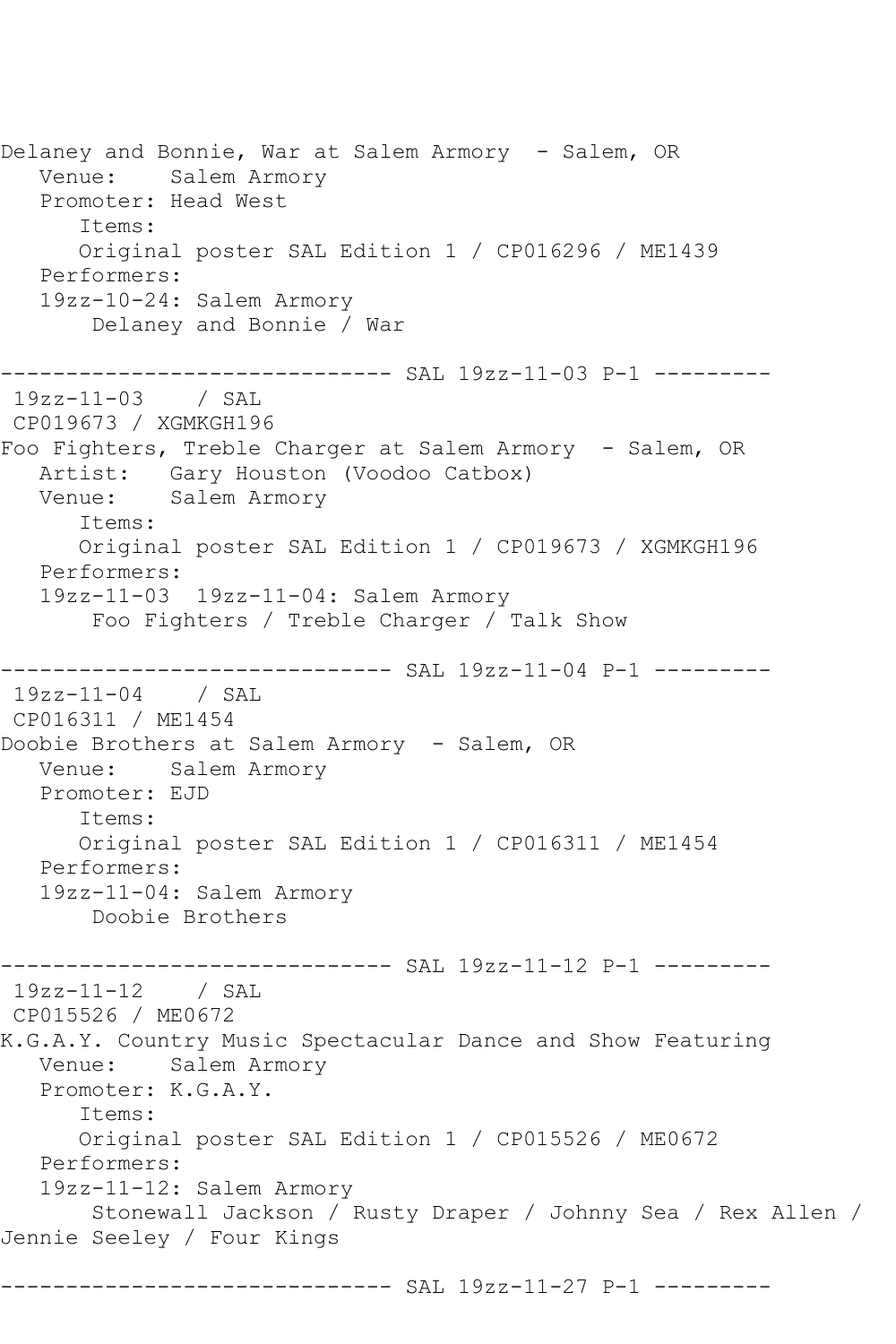Delaney and Bonnie, War at Salem Armory - Salem, OR Venue: Salem Armory Promoter: Head West Items: Original poster SAL Edition 1 / CP016296 / ME1439 Performers: 19zz-10-24: Salem Armory Delaney and Bonnie / War ------------------------------ SAL 19zz-11-03 P-1 --------- 19zz-11-03 / SAL CP019673 / XGMKGH196 Foo Fighters, Treble Charger at Salem Armory - Salem, OR Artist: Gary Houston (Voodoo Catbox) Venue: Salem Armory Items: Original poster SAL Edition 1 / CP019673 / XGMKGH196 Performers: 19zz-11-03 19zz-11-04: Salem Armory Foo Fighters / Treble Charger / Talk Show ------------ SAL 19zz-11-04 P-1 ---------19zz-11-04 / SAL CP016311 / ME1454 Doobie Brothers at Salem Armory - Salem, OR Venue: Salem Armory Promoter: EJD Items: Original poster SAL Edition 1 / CP016311 / ME1454 Performers: 19zz-11-04: Salem Armory Doobie Brothers ------------------------------ SAL 19zz-11-12 P-1 --------- 19zz-11-12 / SAL CP015526 / ME0672 K.G.A.Y. Country Music Spectacular Dance and Show Featuring Venue: Salem Armory Promoter: K.G.A.Y. Items: Original poster SAL Edition 1 / CP015526 / ME0672 Performers: 19zz-11-12: Salem Armory Stonewall Jackson / Rusty Draper / Johnny Sea / Rex Allen / Jennie Seeley / Four Kings ------------------------------ SAL 19zz-11-27 P-1 ---------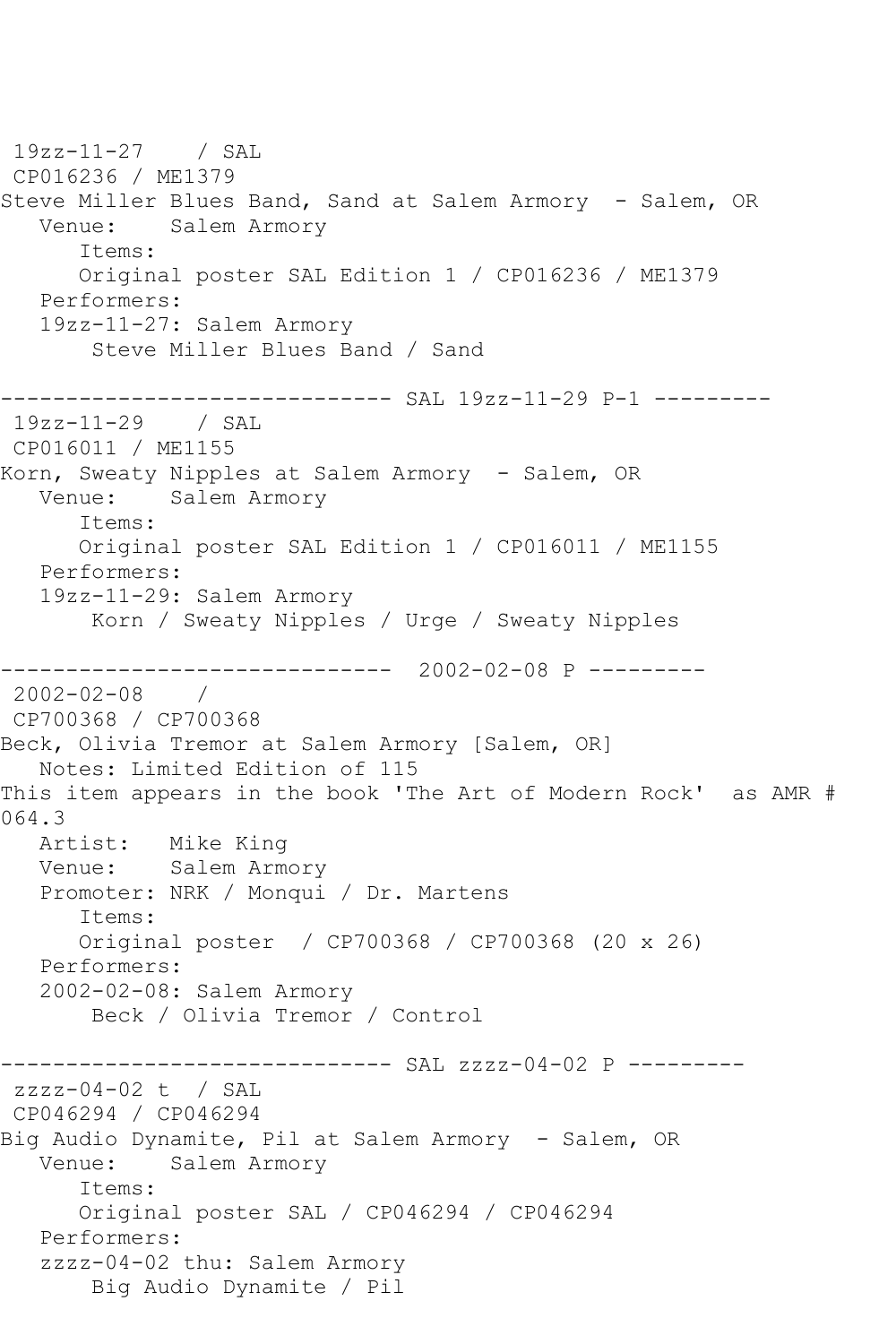19zz-11-27 / SAL CP016236 / ME1379 Steve Miller Blues Band, Sand at Salem Armory - Salem, OR Venue: Salem Armory Items: Original poster SAL Edition 1 / CP016236 / ME1379 Performers: 19zz-11-27: Salem Armory Steve Miller Blues Band / Sand ------------------------------ SAL 19zz-11-29 P-1 --------- 19zz-11-29 / SAL CP016011 / ME1155 Korn, Sweaty Nipples at Salem Armory - Salem, OR Venue: Salem Armory Items: Original poster SAL Edition 1 / CP016011 / ME1155 Performers: 19zz-11-29: Salem Armory Korn / Sweaty Nipples / Urge / Sweaty Nipples ------------------------------ 2002-02-08 P --------- 2002-02-08 / CP700368 / CP700368 Beck, Olivia Tremor at Salem Armory [Salem, OR] Notes: Limited Edition of 115 This item appears in the book 'The Art of Modern Rock' as AMR # 064.3 Artist: Mike King Venue: Salem Armory Promoter: NRK / Monqui / Dr. Martens Items: Original poster / CP700368 / CP700368 (20 x 26) Performers: 2002-02-08: Salem Armory Beck / Olivia Tremor / Control ------------------------------ SAL zzzz-04-02 P -------- zzzz-04-02 t / SAL CP046294 / CP046294 Big Audio Dynamite, Pil at Salem Armory - Salem, OR Venue: Salem Armory Items: Original poster SAL / CP046294 / CP046294 Performers: zzzz-04-02 thu: Salem Armory Big Audio Dynamite / Pil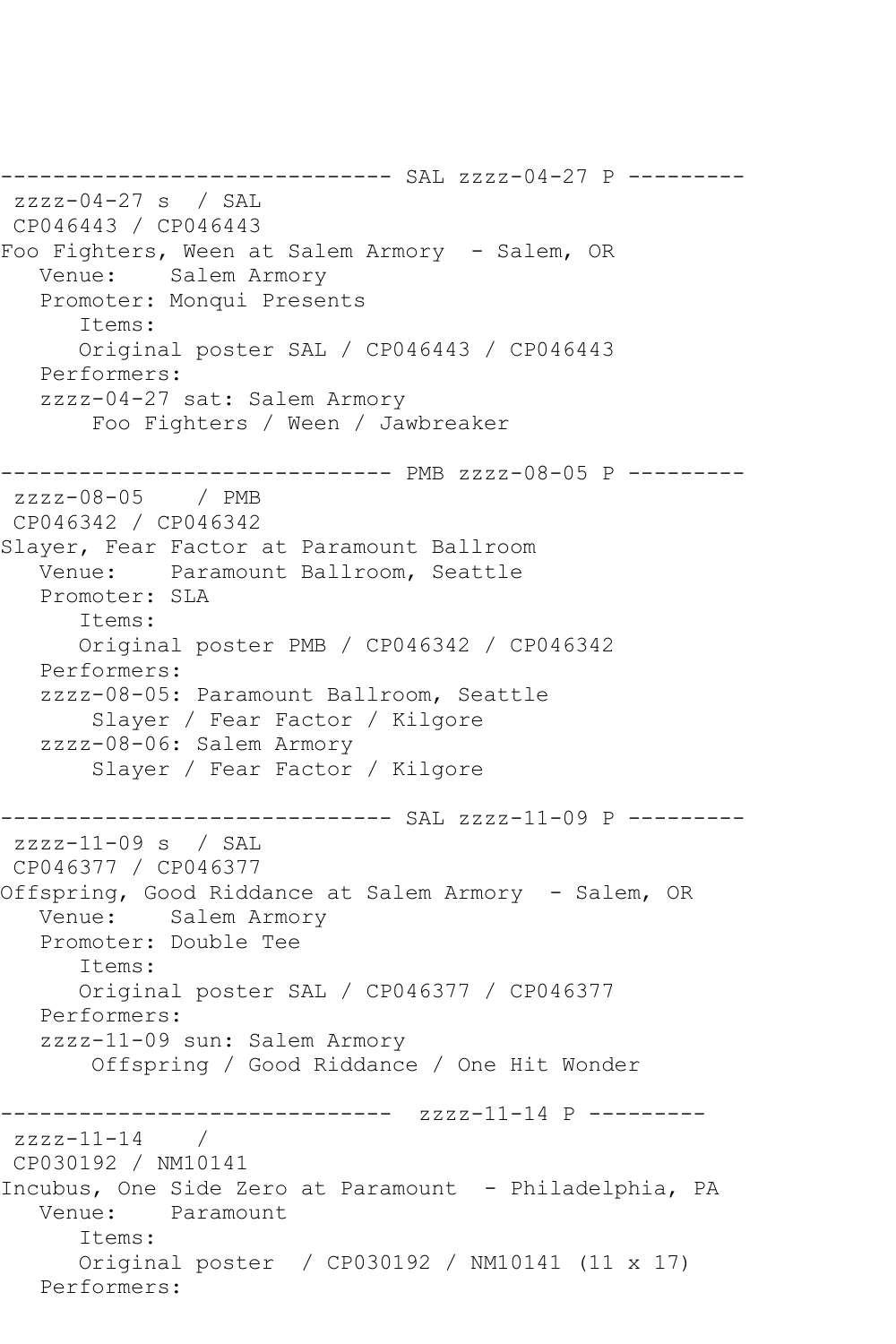------------------------------ SAL zzzz-04-27 P -------- zzzz-04-27 s / SAL CP046443 / CP046443 Foo Fighters, Ween at Salem Armory - Salem, OR Venue: Salem Armory Promoter: Monqui Presents Items: Original poster SAL / CP046443 / CP046443 Performers: zzzz-04-27 sat: Salem Armory Foo Fighters / Ween / Jawbreaker ------------------------------ PMB zzzz-08-05 P -------- zzzz-08-05 / PMB CP046342 / CP046342 Slayer, Fear Factor at Paramount Ballroom Venue: Paramount Ballroom, Seattle Promoter: SLA Items: Original poster PMB / CP046342 / CP046342 Performers: zzzz-08-05: Paramount Ballroom, Seattle Slayer / Fear Factor / Kilgore zzzz-08-06: Salem Armory Slayer / Fear Factor / Kilgore ------------------------------ SAL zzzz-11-09 P -------- zzzz-11-09 s / SAL CP046377 / CP046377 Offspring, Good Riddance at Salem Armory - Salem, OR Venue: Salem Armory Promoter: Double Tee Items: Original poster SAL / CP046377 / CP046377 Performers: zzzz-11-09 sun: Salem Armory Offspring / Good Riddance / One Hit Wonder ------------------------------ zzzz-11-14 P --------  $zzzz-11-14$  / CP030192 / NM10141 Incubus, One Side Zero at Paramount - Philadelphia, PA Venue: Paramount Items: Original poster / CP030192 / NM10141 (11 x 17) Performers: